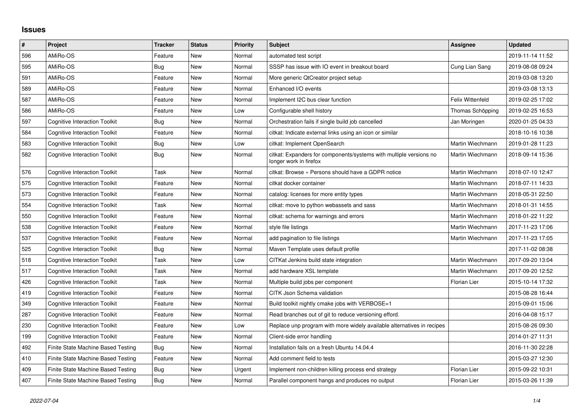## **Issues**

| $\#$ | Project                              | <b>Tracker</b> | <b>Status</b> | <b>Priority</b> | Subject                                                                                      | Assignee                | <b>Updated</b>   |
|------|--------------------------------------|----------------|---------------|-----------------|----------------------------------------------------------------------------------------------|-------------------------|------------------|
| 596  | AMiRo-OS                             | Feature        | <b>New</b>    | Normal          | automated test script                                                                        |                         | 2019-11-14 11:52 |
| 595  | AMiRo-OS                             | Bug            | <b>New</b>    | Normal          | SSSP has issue with IO event in breakout board                                               | Cung Lian Sang          | 2019-08-08 09:24 |
| 591  | AMiRo-OS                             | Feature        | New           | Normal          | More generic QtCreator project setup                                                         |                         | 2019-03-08 13:20 |
| 589  | AMiRo-OS                             | Feature        | <b>New</b>    | Normal          | Enhanced I/O events                                                                          |                         | 2019-03-08 13:13 |
| 587  | AMiRo-OS                             | Feature        | <b>New</b>    | Normal          | Implement I2C bus clear function                                                             | <b>Felix Wittenfeld</b> | 2019-02-25 17:02 |
| 586  | AMiRo-OS                             | Feature        | <b>New</b>    | Low             | Configurable shell history                                                                   | Thomas Schöpping        | 2019-02-25 16:53 |
| 597  | <b>Cognitive Interaction Toolkit</b> | Bug            | New           | Normal          | Orchestration fails if single build job cancelled                                            | Jan Moringen            | 2020-01-25 04:33 |
| 584  | <b>Cognitive Interaction Toolkit</b> | Feature        | New           | Normal          | citkat: Indicate external links using an icon or similar                                     |                         | 2018-10-16 10:38 |
| 583  | <b>Cognitive Interaction Toolkit</b> | Bug            | New           | Low             | citkat: Implement OpenSearch                                                                 | Martin Wiechmann        | 2019-01-28 11:23 |
| 582  | <b>Cognitive Interaction Toolkit</b> | Bug            | New           | Normal          | citkat: Expanders for components/systems with multiple versions no<br>longer work in firefox | Martin Wiechmann        | 2018-09-14 15:36 |
| 576  | <b>Cognitive Interaction Toolkit</b> | Task           | New           | Normal          | citkat: Browse » Persons should have a GDPR notice                                           | Martin Wiechmann        | 2018-07-10 12:47 |
| 575  | <b>Cognitive Interaction Toolkit</b> | Feature        | New           | Normal          | citkat docker container                                                                      | Martin Wiechmann        | 2018-07-11 14:33 |
| 573  | <b>Cognitive Interaction Toolkit</b> | Feature        | <b>New</b>    | Normal          | catalog: licenses for more entity types                                                      | Martin Wiechmann        | 2018-05-31 22:50 |
| 554  | <b>Cognitive Interaction Toolkit</b> | Task           | New           | Normal          | citkat: move to python webassets and sass                                                    | Martin Wiechmann        | 2018-01-31 14:55 |
| 550  | <b>Cognitive Interaction Toolkit</b> | Feature        | New           | Normal          | citkat: schema for warnings and errors                                                       | Martin Wiechmann        | 2018-01-22 11:22 |
| 538  | <b>Cognitive Interaction Toolkit</b> | Feature        | New           | Normal          | style file listings                                                                          | Martin Wiechmann        | 2017-11-23 17:06 |
| 537  | <b>Cognitive Interaction Toolkit</b> | Feature        | <b>New</b>    | Normal          | add pagination to file listings                                                              | Martin Wiechmann        | 2017-11-23 17:05 |
| 525  | <b>Cognitive Interaction Toolkit</b> | Bug            | New           | Normal          | Maven Template uses default profile                                                          |                         | 2017-11-02 08:38 |
| 518  | <b>Cognitive Interaction Toolkit</b> | Task           | New           | Low             | CITKat Jenkins build state integration                                                       | Martin Wiechmann        | 2017-09-20 13:04 |
| 517  | <b>Cognitive Interaction Toolkit</b> | Task           | New           | Normal          | add hardware XSL template                                                                    | Martin Wiechmann        | 2017-09-20 12:52 |
| 426  | <b>Cognitive Interaction Toolkit</b> | Task           | <b>New</b>    | Normal          | Multiple build jobs per component                                                            | <b>Florian Lier</b>     | 2015-10-14 17:32 |
| 419  | <b>Cognitive Interaction Toolkit</b> | Feature        | New           | Normal          | CITK Json Schema validation                                                                  |                         | 2015-08-28 16:44 |
| 349  | <b>Cognitive Interaction Toolkit</b> | Feature        | New           | Normal          | Build toolkit nightly cmake jobs with VERBOSE=1                                              |                         | 2015-09-01 15:06 |
| 287  | <b>Cognitive Interaction Toolkit</b> | Feature        | <b>New</b>    | Normal          | Read branches out of git to reduce versioning efford.                                        |                         | 2016-04-08 15:17 |
| 230  | <b>Cognitive Interaction Toolkit</b> | Feature        | New           | Low             | Replace unp program with more widely available alternatives in recipes                       |                         | 2015-08-26 09:30 |
| 199  | <b>Cognitive Interaction Toolkit</b> | Feature        | New           | Normal          | Client-side error handling                                                                   |                         | 2014-01-27 11:31 |
| 492  | Finite State Machine Based Testing   | Bug            | <b>New</b>    | Normal          | Installation fails on a fresh Ubuntu 14.04.4                                                 |                         | 2016-11-30 22:28 |
| 410  | Finite State Machine Based Testing   | Feature        | New           | Normal          | Add comment field to tests                                                                   |                         | 2015-03-27 12:30 |
| 409  | Finite State Machine Based Testing   | Bug            | <b>New</b>    | Urgent          | Implement non-children killing process end strategy                                          | Florian Lier            | 2015-09-22 10:31 |
| 407  | Finite State Machine Based Testing   | Bug            | New           | Normal          | Parallel component hangs and produces no output                                              | Florian Lier            | 2015-03-26 11:39 |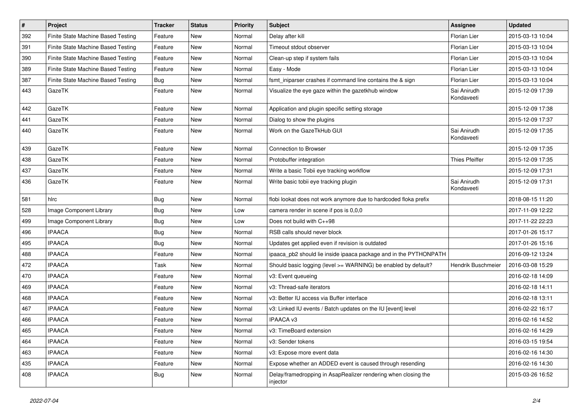| #   | Project                            | <b>Tracker</b> | <b>Status</b> | <b>Priority</b> | Subject                                                                    | Assignee                  | <b>Updated</b>   |
|-----|------------------------------------|----------------|---------------|-----------------|----------------------------------------------------------------------------|---------------------------|------------------|
| 392 | Finite State Machine Based Testing | Feature        | New           | Normal          | Delay after kill                                                           | Florian Lier              | 2015-03-13 10:04 |
| 391 | Finite State Machine Based Testing | Feature        | <b>New</b>    | Normal          | Timeout stdout observer                                                    | Florian Lier              | 2015-03-13 10:04 |
| 390 | Finite State Machine Based Testing | Feature        | New           | Normal          | Clean-up step if system fails                                              | Florian Lier              | 2015-03-13 10:04 |
| 389 | Finite State Machine Based Testing | Feature        | New           | Normal          | Easy - Mode                                                                | <b>Florian Lier</b>       | 2015-03-13 10:04 |
| 387 | Finite State Machine Based Testing | Bug            | <b>New</b>    | Normal          | fsmt_iniparser crashes if command line contains the & sign                 | Florian Lier              | 2015-03-13 10:04 |
| 443 | GazeTK                             | Feature        | New           | Normal          | Visualize the eye gaze within the gazetkhub window                         | Sai Anirudh<br>Kondaveeti | 2015-12-09 17:39 |
| 442 | GazeTK                             | Feature        | <b>New</b>    | Normal          | Application and plugin specific setting storage                            |                           | 2015-12-09 17:38 |
| 441 | GazeTK                             | Feature        | <b>New</b>    | Normal          | Dialog to show the plugins                                                 |                           | 2015-12-09 17:37 |
| 440 | GazeTK                             | Feature        | New           | Normal          | Work on the GazeTkHub GUI                                                  | Sai Anirudh<br>Kondaveeti | 2015-12-09 17:35 |
| 439 | GazeTK                             | Feature        | <b>New</b>    | Normal          | Connection to Browser                                                      |                           | 2015-12-09 17:35 |
| 438 | GazeTK                             | Feature        | <b>New</b>    | Normal          | Protobuffer integration                                                    | Thies Pfeiffer            | 2015-12-09 17:35 |
| 437 | GazeTK                             | Feature        | New           | Normal          | Write a basic Tobii eye tracking workflow                                  |                           | 2015-12-09 17:31 |
| 436 | GazeTK                             | Feature        | New           | Normal          | Write basic tobii eye tracking plugin                                      | Sai Anirudh<br>Kondaveeti | 2015-12-09 17:31 |
| 581 | hlrc                               | Bug            | <b>New</b>    | Normal          | flobi lookat does not work anymore due to hardcoded floka prefix           |                           | 2018-08-15 11:20 |
| 528 | Image Component Library            | Bug            | <b>New</b>    | Low             | camera render in scene if pos is 0,0,0                                     |                           | 2017-11-09 12:22 |
| 499 | Image Component Library            | <b>Bug</b>     | New           | Low             | Does not build with C++98                                                  |                           | 2017-11-22 22:23 |
| 496 | <b>IPAACA</b>                      | <b>Bug</b>     | New           | Normal          | RSB calls should never block                                               |                           | 2017-01-26 15:17 |
| 495 | <b>IPAACA</b>                      | Bug            | <b>New</b>    | Normal          | Updates get applied even if revision is outdated                           |                           | 2017-01-26 15:16 |
| 488 | <b>IPAACA</b>                      | Feature        | <b>New</b>    | Normal          | ipaaca_pb2 should lie inside ipaaca package and in the PYTHONPATH          |                           | 2016-09-12 13:24 |
| 472 | <b>IPAACA</b>                      | Task           | <b>New</b>    | Normal          | Should basic logging (level >= WARNING) be enabled by default?             | Hendrik Buschmeier        | 2016-03-08 15:29 |
| 470 | <b>IPAACA</b>                      | Feature        | New           | Normal          | v3: Event queueing                                                         |                           | 2016-02-18 14:09 |
| 469 | <b>IPAACA</b>                      | Feature        | <b>New</b>    | Normal          | v3: Thread-safe iterators                                                  |                           | 2016-02-18 14:11 |
| 468 | <b>IPAACA</b>                      | Feature        | <b>New</b>    | Normal          | v3: Better IU access via Buffer interface                                  |                           | 2016-02-18 13:11 |
| 467 | <b>IPAACA</b>                      | Feature        | New           | Normal          | v3: Linked IU events / Batch updates on the IU [event] level               |                           | 2016-02-22 16:17 |
| 466 | <b>IPAACA</b>                      | Feature        | New           | Normal          | IPAACA v3                                                                  |                           | 2016-02-16 14:52 |
| 465 | <b>IPAACA</b>                      | Feature        | New           | Normal          | v3: TimeBoard extension                                                    |                           | 2016-02-16 14:29 |
| 464 | <b>IPAACA</b>                      | Feature        | New           | Normal          | v3: Sender tokens                                                          |                           | 2016-03-15 19:54 |
| 463 | <b>IPAACA</b>                      | Feature        | New           | Normal          | v3: Expose more event data                                                 |                           | 2016-02-16 14:30 |
| 435 | <b>IPAACA</b>                      | Feature        | New           | Normal          | Expose whether an ADDED event is caused through resending                  |                           | 2016-02-16 14:30 |
| 408 | <b>IPAACA</b>                      | Bug            | New           | Normal          | Delay/framedropping in AsapRealizer rendering when closing the<br>injector |                           | 2015-03-26 16:52 |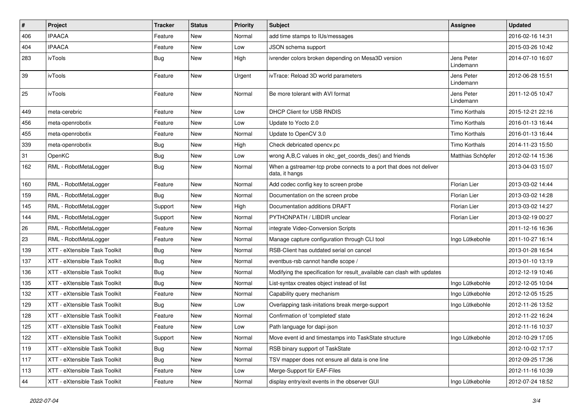| #   | Project                       | <b>Tracker</b> | <b>Status</b> | <b>Priority</b> | Subject                                                                               | Assignee                | <b>Updated</b>   |
|-----|-------------------------------|----------------|---------------|-----------------|---------------------------------------------------------------------------------------|-------------------------|------------------|
| 406 | <b>IPAACA</b>                 | Feature        | New           | Normal          | add time stamps to IUs/messages                                                       |                         | 2016-02-16 14:31 |
| 404 | <b>IPAACA</b>                 | Feature        | <b>New</b>    | Low             | JSON schema support                                                                   |                         | 2015-03-26 10:42 |
| 283 | ivTools                       | Bug            | New           | High            | ivrender colors broken depending on Mesa3D version                                    | Jens Peter<br>Lindemann | 2014-07-10 16:07 |
| 39  | ivTools                       | Feature        | New           | Urgent          | ivTrace: Reload 3D world parameters                                                   | Jens Peter<br>Lindemann | 2012-06-28 15:51 |
| 25  | ivTools                       | Feature        | <b>New</b>    | Normal          | Be more tolerant with AVI format                                                      | Jens Peter<br>Lindemann | 2011-12-05 10:47 |
| 449 | meta-cerebric                 | Feature        | <b>New</b>    | Low             | <b>DHCP Client for USB RNDIS</b>                                                      | <b>Timo Korthals</b>    | 2015-12-21 22:16 |
| 456 | meta-openrobotix              | Feature        | <b>New</b>    | Low             | Update to Yocto 2.0                                                                   | Timo Korthals           | 2016-01-13 16:44 |
| 455 | meta-openrobotix              | Feature        | New           | Normal          | Update to OpenCV 3.0                                                                  | <b>Timo Korthals</b>    | 2016-01-13 16:44 |
| 339 | meta-openrobotix              | Bug            | <b>New</b>    | High            | Check debricated opency.pc                                                            | <b>Timo Korthals</b>    | 2014-11-23 15:50 |
| 31  | OpenKC                        | Bug            | <b>New</b>    | Low             | wrong A,B,C values in okc_get_coords_des() and friends                                | Matthias Schöpfer       | 2012-02-14 15:36 |
| 162 | RML - RobotMetaLogger         | <b>Bug</b>     | New           | Normal          | When a gstreamer-tcp probe connects to a port that does not deliver<br>data, it hangs |                         | 2013-04-03 15:07 |
| 160 | RML - RobotMetaLogger         | Feature        | <b>New</b>    | Normal          | Add codec config key to screen probe                                                  | Florian Lier            | 2013-03-02 14:44 |
| 159 | RML - RobotMetaLogger         | Bug            | <b>New</b>    | Normal          | Documentation on the screen probe                                                     | Florian Lier            | 2013-03-02 14:28 |
| 145 | RML - RobotMetaLogger         | Support        | <b>New</b>    | High            | Documentation additions DRAFT                                                         | <b>Florian Lier</b>     | 2013-03-02 14:27 |
| 144 | RML - RobotMetaLogger         | Support        | New           | Normal          | PYTHONPATH / LIBDIR unclear                                                           | Florian Lier            | 2013-02-19 00:27 |
| 26  | RML - RobotMetaLogger         | Feature        | New           | Normal          | integrate Video-Conversion Scripts                                                    |                         | 2011-12-16 16:36 |
| 23  | RML - RobotMetaLogger         | Feature        | <b>New</b>    | Normal          | Manage capture configuration through CLI tool                                         | Ingo Lütkebohle         | 2011-10-27 16:14 |
| 139 | XTT - eXtensible Task Toolkit | Bug            | New           | Normal          | RSB-Client has outdated serial on cancel                                              |                         | 2013-01-28 16:54 |
| 137 | XTT - eXtensible Task Toolkit | Bug            | <b>New</b>    | Normal          | eventbus-rsb cannot handle scope /                                                    |                         | 2013-01-10 13:19 |
| 136 | XTT - eXtensible Task Toolkit | Bug            | New           | Normal          | Modifying the specification for result_available can clash with updates               |                         | 2012-12-19 10:46 |
| 135 | XTT - eXtensible Task Toolkit | Bug            | <b>New</b>    | Normal          | List-syntax creates object instead of list                                            | Ingo Lütkebohle         | 2012-12-05 10:04 |
| 132 | XTT - eXtensible Task Toolkit | Feature        | <b>New</b>    | Normal          | Capability query mechanism                                                            | Ingo Lütkebohle         | 2012-12-05 15:25 |
| 129 | XTT - eXtensible Task Toolkit | Bug            | New           | Low             | Overlapping task-initations break merge-support                                       | Ingo Lütkebohle         | 2012-11-26 13:52 |
| 128 | XTT - eXtensible Task Toolkit | Feature        | <b>New</b>    | Normal          | Confirmation of 'completed' state                                                     |                         | 2012-11-22 16:24 |
| 125 | XTT - eXtensible Task Toolkit | Feature        | New           | Low             | Path language for dapi-json                                                           |                         | 2012-11-16 10:37 |
| 122 | XTT - eXtensible Task Toolkit | Support        | New           | Normal          | Move event id and timestamps into TaskState structure                                 | Ingo Lütkebohle         | 2012-10-29 17:05 |
| 119 | XTT - eXtensible Task Toolkit | Bug            | New           | Normal          | RSB binary support of TaskState                                                       |                         | 2012-10-02 17:17 |
| 117 | XTT - eXtensible Task Toolkit | <b>Bug</b>     | New           | Normal          | TSV mapper does not ensure all data is one line                                       |                         | 2012-09-25 17:36 |
| 113 | XTT - eXtensible Task Toolkit | Feature        | New           | Low             | Merge-Support für EAF-Files                                                           |                         | 2012-11-16 10:39 |
| 44  | XTT - eXtensible Task Toolkit | Feature        | New           | Normal          | display entry/exit events in the observer GUI                                         | Ingo Lütkebohle         | 2012-07-24 18:52 |